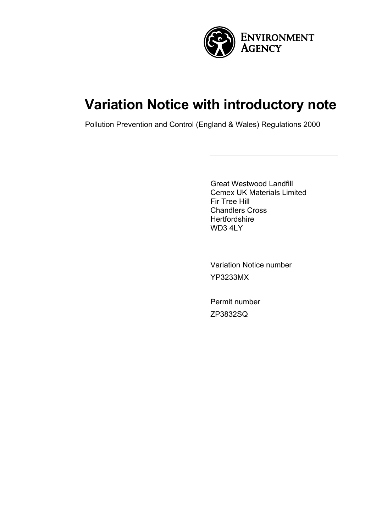

# **Variation Notice with introductory note**

Pollution Prevention and Control (England & Wales) Regulations 2000

Great Westwood Landfill Cemex UK Materials Limited Fir Tree Hill Chandlers Cross **Hertfordshire** WD3 4LY

Variation Notice number YP3233MX

Permit number ZP3832SQ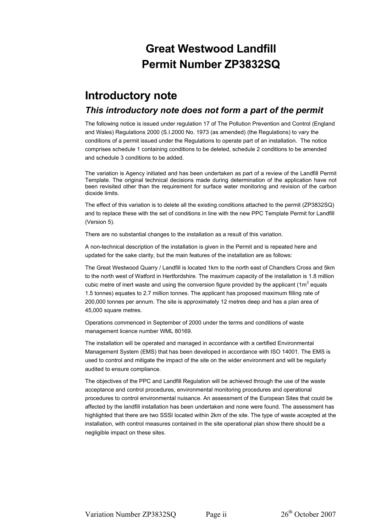# **Great Westwood Landfill Permit Number ZP3832SQ**

# **Introductory note**

### *This introductory note does not form a part of the permit*

The following notice is issued under regulation 17 of The Pollution Prevention and Control (England and Wales) Regulations 2000 (S.I.2000 No. 1973 (as amended) (the Regulations) to vary the conditions of a permit issued under the Regulations to operate part of an installation. The notice comprises schedule 1 containing conditions to be deleted, schedule 2 conditions to be amended and schedule 3 conditions to be added.

The variation is Agency initiated and has been undertaken as part of a review of the Landfill Permit Template. The original technical decisions made during determination of the application have not been revisited other than the requirement for surface water monitoring and revision of the carbon dioxide limits.

The effect of this variation is to delete all the existing conditions attached to the permit (ZP3832SQ) and to replace these with the set of conditions in line with the new PPC Template Permit for Landfill (Version 5).

There are no substantial changes to the installation as a result of this variation.

A non-technical description of the installation is given in the Permit and is repeated here and updated for the sake clarity, but the main features of the installation are as follows:

The Great Westwood Quarry / Landfill is located 1km to the north east of Chandlers Cross and 5km to the north west of Watford in Hertfordshire. The maximum capacity of the installation is 1.8 million cubic metre of inert waste and using the conversion figure provided by the applicant (1m<sup>3</sup> equals 1.5 tonnes) equates to 2.7 million tonnes. The applicant has proposed maximum filling rate of 200,000 tonnes per annum. The site is approximately 12 metres deep and has a plan area of 45,000 square metres.

Operations commenced in September of 2000 under the terms and conditions of waste management licence number WML 80169.

The installation will be operated and managed in accordance with a certified Environmental Management System (EMS) that has been developed in accordance with ISO 14001. The EMS is used to control and mitigate the impact of the site on the wider environment and will be regularly audited to ensure compliance.

The objectives of the PPC and Landfill Regulation will be achieved through the use of the waste acceptance and control procedures, environmental monitoring procedures and operational procedures to control environmental nuisance. An assessment of the European Sites that could be affected by the landfill installation has been undertaken and none were found. The assessment has highlighted that there are two SSSI located within 2km of the site. The type of waste accepted at the installation, with control measures contained in the site operational plan show there should be a negligible impact on these sites.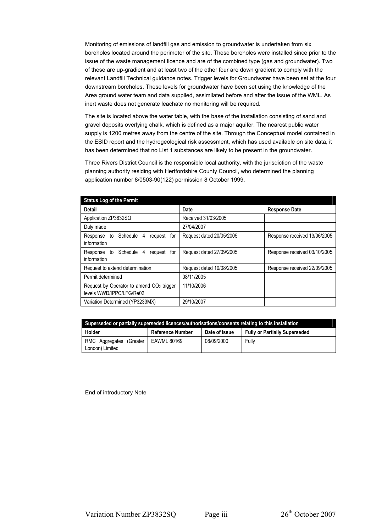Monitoring of emissions of landfill gas and emission to groundwater is undertaken from six boreholes located around the perimeter of the site. These boreholes were installed since prior to the issue of the waste management licence and are of the combined type (gas and groundwater). Two of these are up-gradient and at least two of the other four are down gradient to comply with the relevant Landfill Technical guidance notes. Trigger levels for Groundwater have been set at the four downstream boreholes. These levels for groundwater have been set using the knowledge of the Area ground water team and data supplied, assimilated before and after the issue of the WML. As inert waste does not generate leachate no monitoring will be required.

The site is located above the water table, with the base of the installation consisting of sand and gravel deposits overlying chalk, which is defined as a major aquifer. The nearest public water supply is 1200 metres away from the centre of the site. Through the Conceptual model contained in the ESID report and the hydrogeological risk assessment, which has used available on site data, it has been determined that no List 1 substances are likely to be present in the groundwater.

Three Rivers District Council is the responsible local authority, with the jurisdiction of the waste planning authority residing with Hertfordshire County Council, who determined the planning application number 8/0503-90(122) permission 8 October 1999.

| <b>Status Log of the Permit</b>                                                  |                          |                              |
|----------------------------------------------------------------------------------|--------------------------|------------------------------|
| Detail                                                                           | Date                     | <b>Response Date</b>         |
| Application ZP3832SQ                                                             | Received 31/03/2005      |                              |
| Duly made                                                                        | 27/04/2007               |                              |
| Response to Schedule<br>request<br>4<br>for<br>information                       | Request dated 20/05/2005 | Response received 13/06/2005 |
| Response to Schedule<br>4<br>request<br>for<br>information                       | Request dated 27/09/2005 | Response received 03/10/2005 |
| Request to extend determination                                                  | Request dated 10/08/2005 | Response received 22/09/2005 |
| Permit determined                                                                | 08/11/2005               |                              |
| Request by Operator to amend CO <sub>2</sub> trigger<br>levels WWD/IPPC/LFG/Re02 | 11/10/2006               |                              |
| Variation Determined (YP3233MX)                                                  | 29/10/2007               |                              |

| Superseded or partially superseded licences/authorisations/consents relating to this installation |                         |               |                                      |  |  |  |
|---------------------------------------------------------------------------------------------------|-------------------------|---------------|--------------------------------------|--|--|--|
| Holder                                                                                            | <b>Reference Number</b> | Date of Issue | <b>Fully or Partially Superseded</b> |  |  |  |
| RMC Aggregates (Greater<br>London) Limited                                                        | EAWML 80169             | 08/09/2000    | Fully                                |  |  |  |

End of introductory Note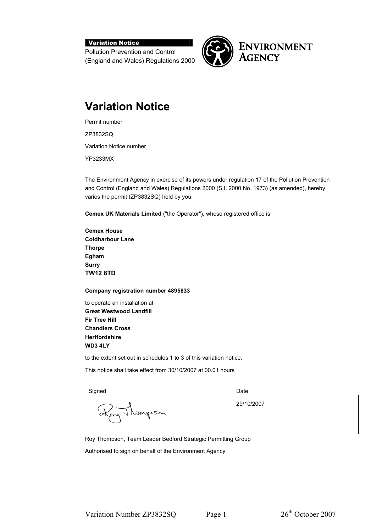#### Variation Notice

Pollution Prevention and Control (England and Wales) Regulations 2000



### **ENVIRONMENT AGENCY**

# **Variation Notice**

Permit number ZP3832SQ Variation Notice number

YP3233MX

The Environment Agency in exercise of its powers under regulation 17 of the Pollution Prevention and Control (England and Wales) Regulations 2000 (S.I. 2000 No. 1973) (as amended), hereby varies the permit (ZP3832SQ) held by you.

**Cemex UK Materials Limited** ("the Operator"), whose registered office is

**Cemex House Coldharbour Lane Thorpe Egham Surry TW12 8TD** 

**Company registration number 4895833** 

to operate an installation at **Great Westwood Landfill Fir Tree Hill Chandlers Cross Hertfordshire WD3 4LY** 

to the extent set out in schedules 1 to 3 of this variation notice.

This notice shall take effect from 30/10/2007 at 00.01 hours

| Signed              | Date       |
|---------------------|------------|
| 1 rempson<br>$A$ 04 | 29/10/2007 |

Roy Thompson, Team Leader Bedford Strategic Permitting Group

Authorised to sign on behalf of the Environment Agency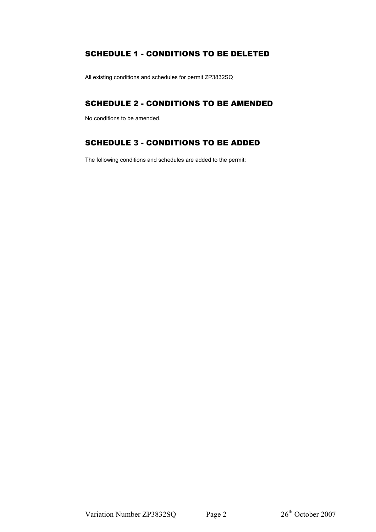#### SCHEDULE 1 - CONDITIONS TO BE DELETED

All existing conditions and schedules for permit ZP3832SQ

#### SCHEDULE 2 - CONDITIONS TO BE AMENDED

No conditions to be amended.

### SCHEDULE 3 - CONDITIONS TO BE ADDED

The following conditions and schedules are added to the permit: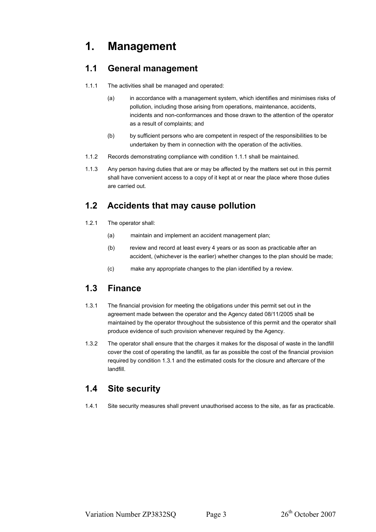# **1. Management**

### **1.1 General management**

- 1.1.1 The activities shall be managed and operated:
	- (a) in accordance with a management system, which identifies and minimises risks of pollution, including those arising from operations, maintenance, accidents, incidents and non-conformances and those drawn to the attention of the operator as a result of complaints; and
	- (b) by sufficient persons who are competent in respect of the responsibilities to be undertaken by them in connection with the operation of the activities.
- 1.1.2 Records demonstrating compliance with condition 1.1.1 shall be maintained.
- 1.1.3 Any person having duties that are or may be affected by the matters set out in this permit shall have convenient access to a copy of it kept at or near the place where those duties are carried out.

### **1.2 Accidents that may cause pollution**

- 1.2.1 The operator shall:
	- (a) maintain and implement an accident management plan;
	- (b) review and record at least every 4 years or as soon as practicable after an accident, (whichever is the earlier) whether changes to the plan should be made;
	- (c) make any appropriate changes to the plan identified by a review.

### **1.3 Finance**

- 1.3.1 The financial provision for meeting the obligations under this permit set out in the agreement made between the operator and the Agency dated 08/11/2005 shall be maintained by the operator throughout the subsistence of this permit and the operator shall produce evidence of such provision whenever required by the Agency.
- 1.3.2 The operator shall ensure that the charges it makes for the disposal of waste in the landfill cover the cost of operating the landfill, as far as possible the cost of the financial provision required by condition 1.3.1 and the estimated costs for the closure and aftercare of the landfill.

### **1.4 Site security**

1.4.1 Site security measures shall prevent unauthorised access to the site, as far as practicable.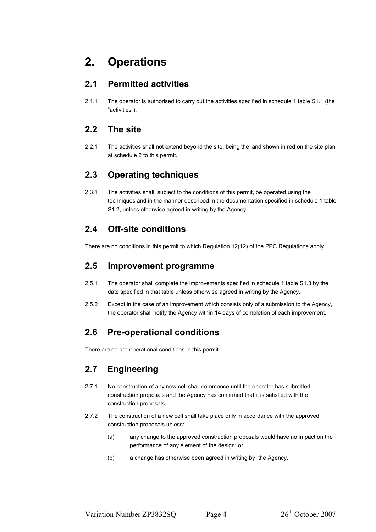## **2. Operations**

### **2.1 Permitted activities**

2.1.1 The operator is authorised to carry out the activities specified in schedule 1 table S1.1 (the "activities").

### **2.2 The site**

2.2.1 The activities shall not extend beyond the site, being the land shown in red on the site plan at schedule 2 to this permit.

### **2.3 Operating techniques**

2.3.1 The activities shall, subject to the conditions of this permit, be operated using the techniques and in the manner described in the documentation specified in schedule 1 table S1.2, unless otherwise agreed in writing by the Agency.

### **2.4 Off-site conditions**

There are no conditions in this permit to which Regulation 12(12) of the PPC Regulations apply.

### **2.5 Improvement programme**

- 2.5.1 The operator shall complete the improvements specified in schedule 1 table S1.3 by the date specified in that table unless otherwise agreed in writing by the Agency.
- 2.5.2 Except in the case of an improvement which consists only of a submission to the Agency, the operator shall notify the Agency within 14 days of completion of each improvement.

### **2.6 Pre-operational conditions**

There are no pre-operational conditions in this permit.

### **2.7 Engineering**

- 2.7.1 No construction of any new cell shall commence until the operator has submitted construction proposals and the Agency has confirmed that it is satisfied with the construction proposals.
- 2.7.2 The construction of a new cell shall take place only in accordance with the approved construction proposals unless:
	- (a) any change to the approved construction proposals would have no impact on the performance of any element of the design; or
	- (b) a change has otherwise been agreed in writing by the Agency.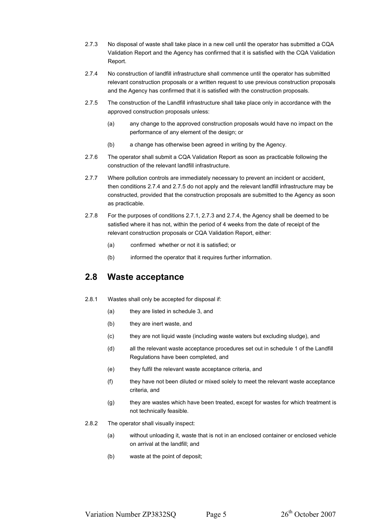- 2.7.3 No disposal of waste shall take place in a new cell until the operator has submitted a CQA Validation Report and the Agency has confirmed that it is satisfied with the CQA Validation Report.
- 2.7.4 No construction of landfill infrastructure shall commence until the operator has submitted relevant construction proposals or a written request to use previous construction proposals and the Agency has confirmed that it is satisfied with the construction proposals.
- 2.7.5 The construction of the Landfill infrastructure shall take place only in accordance with the approved construction proposals unless:
	- (a) any change to the approved construction proposals would have no impact on the performance of any element of the design; or
	- (b) a change has otherwise been agreed in writing by the Agency.
- 2.7.6 The operator shall submit a CQA Validation Report as soon as practicable following the construction of the relevant landfill infrastructure.
- 2.7.7 Where pollution controls are immediately necessary to prevent an incident or accident, then conditions 2.7.4 and 2.7.5 do not apply and the relevant landfill infrastructure may be constructed, provided that the construction proposals are submitted to the Agency as soon as practicable.
- 2.7.8 For the purposes of conditions 2.7.1, 2.7.3 and 2.7.4, the Agency shall be deemed to be satisfied where it has not, within the period of 4 weeks from the date of receipt of the relevant construction proposals or CQA Validation Report, either:
	- (a) confirmed whether or not it is satisfied; or
	- (b) informed the operator that it requires further information.

#### **2.8 Waste acceptance**

- 2.8.1 Wastes shall only be accepted for disposal if:
	- (a) they are listed in schedule 3, and
	- (b) they are inert waste, and
	- (c) they are not liquid waste (including waste waters but excluding sludge), and
	- (d) all the relevant waste acceptance procedures set out in schedule 1 of the Landfill Regulations have been completed, and
	- (e) they fulfil the relevant waste acceptance criteria, and
	- (f) they have not been diluted or mixed solely to meet the relevant waste acceptance criteria, and
	- (g) they are wastes which have been treated, except for wastes for which treatment is not technically feasible.
- 2.8.2 The operator shall visually inspect:
	- (a) without unloading it, waste that is not in an enclosed container or enclosed vehicle on arrival at the landfill; and
	- (b) waste at the point of deposit;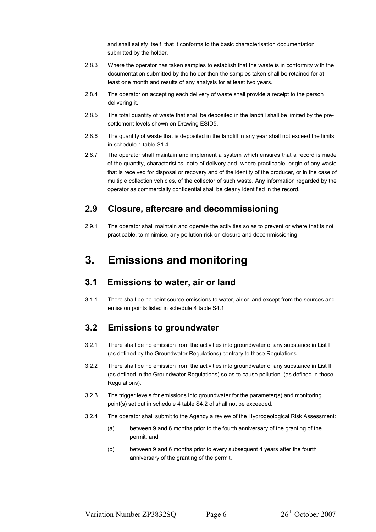and shall satisfy itself that it conforms to the basic characterisation documentation submitted by the holder.

- 2.8.3 Where the operator has taken samples to establish that the waste is in conformity with the documentation submitted by the holder then the samples taken shall be retained for at least one month and results of any analysis for at least two years.
- 2.8.4 The operator on accepting each delivery of waste shall provide a receipt to the person delivering it.
- 2.8.5 The total quantity of waste that shall be deposited in the landfill shall be limited by the presettlement levels shown on Drawing ESID5.
- 2.8.6 The quantity of waste that is deposited in the landfill in any year shall not exceed the limits in schedule 1 table S1.4.
- 2.8.7 The operator shall maintain and implement a system which ensures that a record is made of the quantity, characteristics, date of delivery and, where practicable, origin of any waste that is received for disposal or recovery and of the identity of the producer, or in the case of multiple collection vehicles, of the collector of such waste. Any information regarded by the operator as commercially confidential shall be clearly identified in the record.

#### **2.9 Closure, aftercare and decommissioning**

2.9.1 The operator shall maintain and operate the activities so as to prevent or where that is not practicable, to minimise, any pollution risk on closure and decommissioning.

### **3. Emissions and monitoring**

#### **3.1 Emissions to water, air or land**

3.1.1 There shall be no point source emissions to water, air or land except from the sources and emission points listed in schedule 4 table S4.1

#### **3.2 Emissions to groundwater**

- 3.2.1 There shall be no emission from the activities into groundwater of any substance in List I (as defined by the Groundwater Regulations) contrary to those Regulations.
- 3.2.2 There shall be no emission from the activities into groundwater of any substance in List II (as defined in the Groundwater Regulations) so as to cause pollution (as defined in those Regulations).
- 3.2.3 The trigger levels for emissions into groundwater for the parameter(s) and monitoring point(s) set out in schedule 4 table S4.2 of shall not be exceeded.
- 3.2.4 The operator shall submit to the Agency a review of the Hydrogeological Risk Assessment:
	- (a) between 9 and 6 months prior to the fourth anniversary of the granting of the permit, and
	- (b) between 9 and 6 months prior to every subsequent 4 years after the fourth anniversary of the granting of the permit.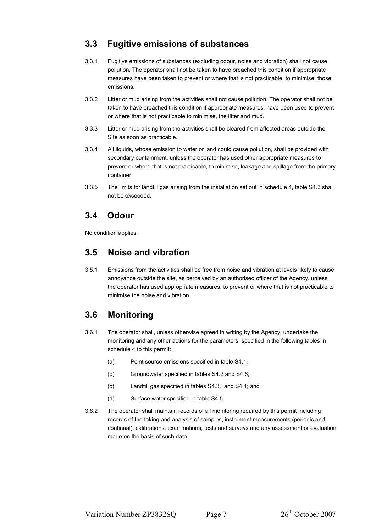### **3.3 Fugitive emissions of substances**

- 3.3.1 Fugitive emissions of substances (excluding odour, noise and vibration) shall not cause pollution. The operator shall not be taken to have breached this condition if appropriate measures have been taken to prevent or where that is not practicable, to minimise, those emissions.
- 3.3.2 Litter or mud arising from the activities shall not cause pollution. The operator shall not be taken to have breached this condition if appropriate measures, have been used to prevent or where that is not practicable to minimise, the litter and mud.
- 3.3.3 Litter or mud arising from the activities shall be cleared from affected areas outside the Site as soon as practicable.
- 3.3.4 All liquids, whose emission to water or land could cause pollution, shall be provided with secondary containment, unless the operator has used other appropriate measures to prevent or where that is not practicable, to minimise, leakage and spillage from the primary container.
- 3.3.5 The limits for landfill gas arising from the installation set out in schedule 4, table S4.3 shall not be exceeded.

#### **3.4 Odour**

No condition applies.

### **3.5 Noise and vibration**

3.5.1 Emissions from the activities shall be free from noise and vibration at levels likely to cause annoyance outside the site, as perceived by an authorised officer of the Agency, unless the operator has used appropriate measures, to prevent or where that is not practicable to minimise the noise and vibration.

### **3.6 Monitoring**

- 3.6.1 The operator shall, unless otherwise agreed in writing by the Agency, undertake the monitoring and any other actions for the parameters, specified in the following tables in schedule 4 to this permit:
	- (a) Point source emissions specified in table S4.1;
	- (b) Groundwater specified in tables S4.2 and S4.6;
	- (c) Landfill gas specified in tables S4.3, and S4.4; and
	- (d) Surface water specified in table S4.5.
- 3.6.2 The operator shall maintain records of all monitoring required by this permit including records of the taking and analysis of samples, instrument measurements (periodic and continual), calibrations, examinations, tests and surveys and any assessment or evaluation made on the basis of such data.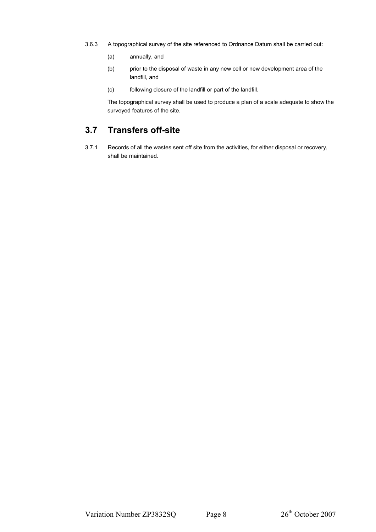- 3.6.3 A topographical survey of the site referenced to Ordnance Datum shall be carried out:
	- (a) annually, and
	- (b) prior to the disposal of waste in any new cell or new development area of the landfill, and
	- (c) following closure of the landfill or part of the landfill.

The topographical survey shall be used to produce a plan of a scale adequate to show the surveyed features of the site.

### **3.7 Transfers off-site**

3.7.1 Records of all the wastes sent off site from the activities, for either disposal or recovery, shall be maintained.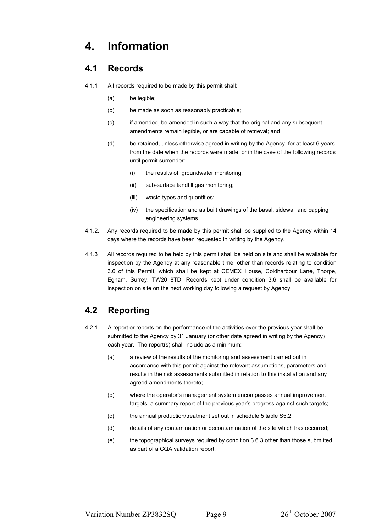# **4. Information**

### **4.1 Records**

- 4.1.1 All records required to be made by this permit shall:
	- (a) be legible;
	- (b) be made as soon as reasonably practicable;
	- (c) if amended, be amended in such a way that the original and any subsequent amendments remain legible, or are capable of retrieval; and
	- (d) be retained, unless otherwise agreed in writing by the Agency, for at least 6 years from the date when the records were made, or in the case of the following records until permit surrender:
		- (i) the results of groundwater monitoring;
		- (ii) sub-surface landfill gas monitoring;
		- (iii) waste types and quantities;
		- (iv) the specification and as built drawings of the basal, sidewall and capping engineering systems
- 4.1.2. Any records required to be made by this permit shall be supplied to the Agency within 14 days where the records have been requested in writing by the Agency.
- 4.1.3 All records required to be held by this permit shall be held on site and shall be available for inspection by the Agency at any reasonable time, other than records relating to condition 3.6 of this Permit, which shall be kept at CEMEX House, Coldharbour Lane, Thorpe, Egham, Surrey, TW20 8TD. Records kept under condition 3.6 shall be available for inspection on site on the next working day following a request by Agency.

### **4.2 Reporting**

- 4.2.1 A report or reports on the performance of the activities over the previous year shall be submitted to the Agency by 31 January (or other date agreed in writing by the Agency) each year. The report(s) shall include as a minimum:
	- (a) a review of the results of the monitoring and assessment carried out in accordance with this permit against the relevant assumptions, parameters and results in the risk assessments submitted in relation to this installation and any agreed amendments thereto;
	- (b) where the operator's management system encompasses annual improvement targets, a summary report of the previous year's progress against such targets;
	- (c) the annual production/treatment set out in schedule 5 table S5.2.
	- (d) details of any contamination or decontamination of the site which has occurred;
	- (e) the topographical surveys required by condition 3.6.3 other than those submitted as part of a CQA validation report;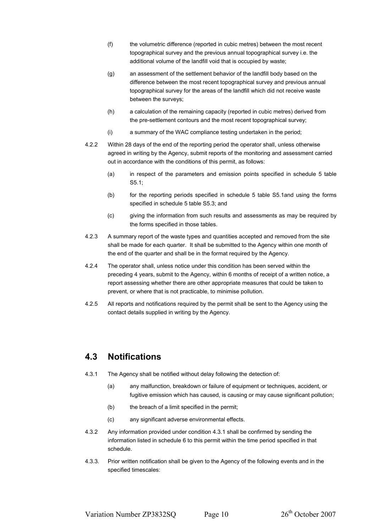- (f) the volumetric difference (reported in cubic metres) between the most recent topographical survey and the previous annual topographical survey i.e. the additional volume of the landfill void that is occupied by waste;
- (g) an assessment of the settlement behavior of the landfill body based on the difference between the most recent topographical survey and previous annual topographical survey for the areas of the landfill which did not receive waste between the surveys;
- (h) a calculation of the remaining capacity (reported in cubic metres) derived from the pre-settlement contours and the most recent topographical survey;
- (i) a summary of the WAC compliance testing undertaken in the period;
- 4.2.2 Within 28 days of the end of the reporting period the operator shall, unless otherwise agreed in writing by the Agency, submit reports of the monitoring and assessment carried out in accordance with the conditions of this permit, as follows:
	- (a) in respect of the parameters and emission points specified in schedule 5 table S5.1;
	- (b) for the reporting periods specified in schedule 5 table S5.1and using the forms specified in schedule 5 table S5.3; and
	- (c) giving the information from such results and assessments as may be required by the forms specified in those tables.
- 4.2.3 A summary report of the waste types and quantities accepted and removed from the site shall be made for each quarter. It shall be submitted to the Agency within one month of the end of the quarter and shall be in the format required by the Agency.
- 4.2.4 The operator shall, unless notice under this condition has been served within the preceding 4 years, submit to the Agency, within 6 months of receipt of a written notice, a report assessing whether there are other appropriate measures that could be taken to prevent, or where that is not practicable, to minimise pollution.
- 4.2.5 All reports and notifications required by the permit shall be sent to the Agency using the contact details supplied in writing by the Agency.

### **4.3 Notifications**

- 4.3.1 The Agency shall be notified without delay following the detection of:
	- (a) any malfunction, breakdown or failure of equipment or techniques, accident, or fugitive emission which has caused, is causing or may cause significant pollution;
	- (b) the breach of a limit specified in the permit;
	- (c) any significant adverse environmental effects.
- 4.3.2 Any information provided under condition 4.3.1 shall be confirmed by sending the information listed in schedule 6 to this permit within the time period specified in that schedule.
- 4.3.3. Prior written notification shall be given to the Agency of the following events and in the specified timescales: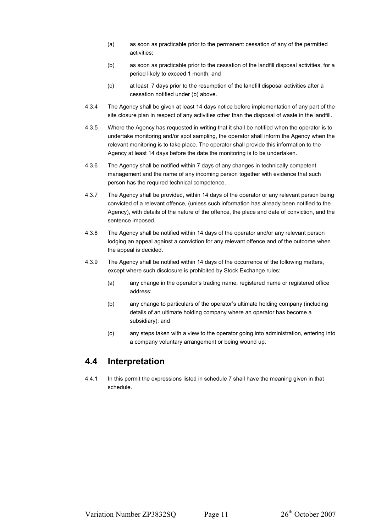- (a) as soon as practicable prior to the permanent cessation of any of the permitted activities;
- (b) as soon as practicable prior to the cessation of the landfill disposal activities, for a period likely to exceed 1 month; and
- (c) at least 7 days prior to the resumption of the landfill disposal activities after a cessation notified under (b) above.
- 4.3.4 The Agency shall be given at least 14 days notice before implementation of any part of the site closure plan in respect of any activities other than the disposal of waste in the landfill.
- 4.3.5 Where the Agency has requested in writing that it shall be notified when the operator is to undertake monitoring and/or spot sampling, the operator shall inform the Agency when the relevant monitoring is to take place. The operator shall provide this information to the Agency at least 14 days before the date the monitoring is to be undertaken.
- 4.3.6 The Agency shall be notified within 7 days of any changes in technically competent management and the name of any incoming person together with evidence that such person has the required technical competence.
- 4.3.7 The Agency shall be provided, within 14 days of the operator or any relevant person being convicted of a relevant offence, (unless such information has already been notified to the Agency), with details of the nature of the offence, the place and date of conviction, and the sentence imposed.
- 4.3.8 The Agency shall be notified within 14 days of the operator and/or any relevant person lodging an appeal against a conviction for any relevant offence and of the outcome when the appeal is decided.
- 4.3.9 The Agency shall be notified within 14 days of the occurrence of the following matters, except where such disclosure is prohibited by Stock Exchange rules:
	- (a) any change in the operator's trading name, registered name or registered office address;
	- (b) any change to particulars of the operator's ultimate holding company (including details of an ultimate holding company where an operator has become a subsidiary); and
	- (c) any steps taken with a view to the operator going into administration, entering into a company voluntary arrangement or being wound up.

#### **4.4 Interpretation**

4.4.1 In this permit the expressions listed in schedule 7 shall have the meaning given in that schedule.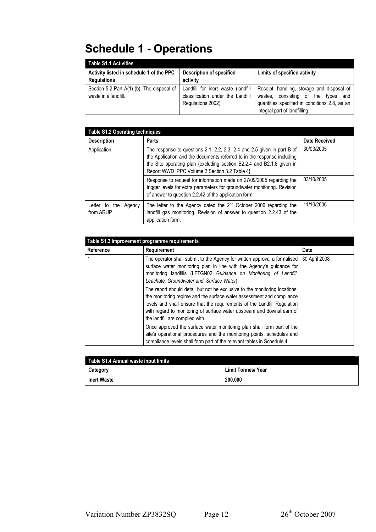# **Schedule 1 - Operations**

| <b>Table S1.1 Activities</b>                                       |                                                                                              |                                                                                                                                                                           |
|--------------------------------------------------------------------|----------------------------------------------------------------------------------------------|---------------------------------------------------------------------------------------------------------------------------------------------------------------------------|
| Activity listed in schedule 1 of the PPC<br><b>Regulations</b>     | <b>Description of specified</b><br>activity                                                  | Limits of specified activity                                                                                                                                              |
| Section 5.2 Part A(1) (b). The disposal of<br>waste in a landfill. | Landfill for inert waste (landfill<br>classification under the Landfill<br>Regulations 2002) | Receipt, handling, storage and disposal of<br>consisting of the types<br>wastes.<br>and<br>quantities specified in conditions 2.8, as an<br>integral part of landfilling. |

| <b>Table S1.2 Operating techniques</b> |                                                                                                                                                                                                                                                                              |                      |  |  |  |  |
|----------------------------------------|------------------------------------------------------------------------------------------------------------------------------------------------------------------------------------------------------------------------------------------------------------------------------|----------------------|--|--|--|--|
| <b>Description</b>                     | <b>Parts</b>                                                                                                                                                                                                                                                                 | <b>Date Received</b> |  |  |  |  |
| Application                            | The response to questions 2.1, 2.2, 2.3, 2.4 and 2.5 given in part B of<br>the Application and the documents referred to in the response including<br>the Site operating plan {excluding section B2.2.4 and B2.1.8 given in<br>Report WWD IPPC Volume 2 Section 3.2 Table 4. | 30/03/2005           |  |  |  |  |
|                                        | Response to request for information made on 27/09/2005 regarding the<br>trigger levels for extra parameters for groundwater monitoring. Revision<br>of answer to question 2.2.42 of the application form.                                                                    | 03/10/2005           |  |  |  |  |
| Letter to the<br>Agency<br>from ARUP   | The letter to the Agency dated the $2nd$ October 2006 regarding the<br>landfill gas monitoring. Revision of answer to question 2.2.43 of the<br>application form.                                                                                                            | 11/10/2006           |  |  |  |  |

| Table S1.3 Improvement programme requirements |                                                                                                                                                                                                                                                                                                                                             |               |  |  |  |  |
|-----------------------------------------------|---------------------------------------------------------------------------------------------------------------------------------------------------------------------------------------------------------------------------------------------------------------------------------------------------------------------------------------------|---------------|--|--|--|--|
| Reference                                     | <b>Requirement</b>                                                                                                                                                                                                                                                                                                                          | Date          |  |  |  |  |
|                                               | The operator shall submit to the Agency for written approval a formalised<br>surface water monitoring plan in line with the Agency's guidance for<br>monitoring landfills (LFTGN02 Guidance on Monitoring of Landfill.<br>Leachate, Groundwater and. Surface Water).                                                                        | 30 April 2008 |  |  |  |  |
|                                               | The report should detail but not be exclusive to the monitoring locations.<br>the monitoring regime and the surface water assessment and compliance<br>levels and shall ensure that the requirements of the Landfill Regulation<br>with regard to monitoring of surface water upstream and downstream of<br>the landfill are complied with. |               |  |  |  |  |
|                                               | Once approved the surface water monitoring plan shall form part of the<br>site's operational procedures and the monitoring points, schedules and<br>compliance levels shall form part of the relevant tables in Schedule 4.                                                                                                                 |               |  |  |  |  |

| Table S1.4 Annual waste input limits |                           |
|--------------------------------------|---------------------------|
| Category                             | <b>Limit Tonnes/ Year</b> |
| <b>Inert Waste</b>                   | 200.000                   |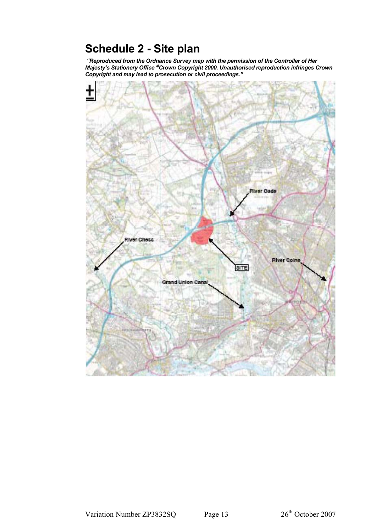# **Schedule 2 - Site plan**

 *"Reproduced from the Ordnance Survey map with the permission of the Controller of Her Majesty's Stationery Office Crown Copyright 2000. Unauthorised reproduction infringes Crown Copyright and may lead to prosecution or civil proceedings."* 

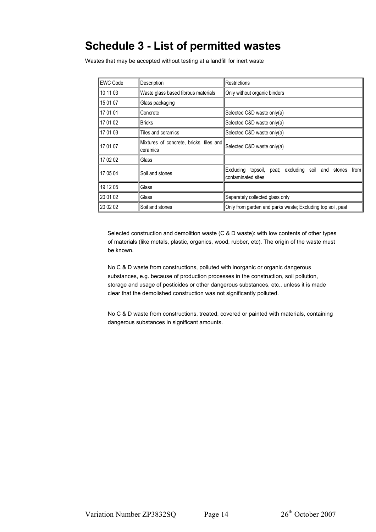## **Schedule 3 - List of permitted wastes**

Wastes that may be accepted without testing at a landfill for inert waste

| <b>EWC Code</b> | Description                                         | Restrictions                                                                     |
|-----------------|-----------------------------------------------------|----------------------------------------------------------------------------------|
| 10 11 03        | Waste glass based fibrous materials                 | Only without organic binders                                                     |
| 15 01 07        | Glass packaging                                     |                                                                                  |
| 117 01 01       | Concrete                                            | Selected C&D waste only(a)                                                       |
| 17 01 02        | <b>Bricks</b>                                       | Selected C&D waste only(a)                                                       |
| 17 01 03        | Tiles and ceramics                                  | Selected C&D waste only(a)                                                       |
| 17 01 07        | Mixtures of concrete, bricks, tiles and<br>ceramics | Selected C&D waste only(a)                                                       |
| 17 02 02        | Glass                                               |                                                                                  |
| 17 05 04        | Soil and stones                                     | Excluding topsoil, peat; excluding soil and stones<br>from<br>contaminated sites |
| 19 12 05        | Glass                                               |                                                                                  |
| 20 01 02        | Glass                                               | Separately collected glass only                                                  |
| 20 02 02        | Soil and stones                                     | Only from garden and parks waste; Excluding top soil, peat                       |

Selected construction and demolition waste (C & D waste): with low contents of other types of materials (like metals, plastic, organics, wood, rubber, etc). The origin of the waste must be known.

No C & D waste from constructions, polluted with inorganic or organic dangerous substances, e.g. because of production processes in the construction, soil pollution, storage and usage of pesticides or other dangerous substances, etc., unless it is made clear that the demolished construction was not significantly polluted.

No C & D waste from constructions, treated, covered or painted with materials, containing dangerous substances in significant amounts.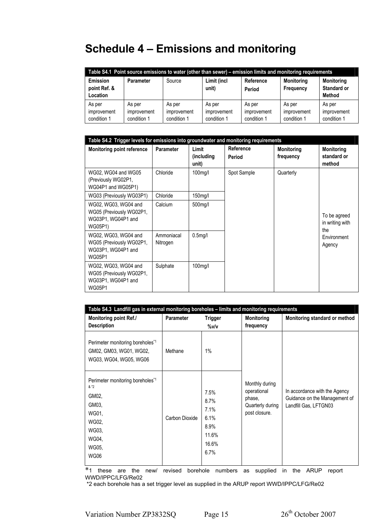# **Schedule 4 – Emissions and monitoring**

| Table S4.1 Point source emissions to water (other than sewer) – emission limits and monitoring requirements |                                      |                                      |                                                                                                                                    |                                      |                                      |                                      |  |  |
|-------------------------------------------------------------------------------------------------------------|--------------------------------------|--------------------------------------|------------------------------------------------------------------------------------------------------------------------------------|--------------------------------------|--------------------------------------|--------------------------------------|--|--|
| Emission<br>point Ref. &<br>Location                                                                        | Parameter                            | Source                               | Limit (incl<br><b>Monitoring</b><br><b>Monitoring</b><br>Reference<br><b>Standard or</b><br>unit)<br>Frequency<br>Period<br>Method |                                      |                                      |                                      |  |  |
| As per<br>improvement<br>condition 1                                                                        | As per<br>improvement<br>condition 1 | As per<br>improvement<br>condition 1 | As per<br>improvement<br>condition 1                                                                                               | As per<br>improvement<br>condition 1 | As per<br>improvement<br>condition 1 | As per<br>improvement<br>condition 1 |  |  |

| Table S4.2 Trigger levels for emissions into groundwater and monitoring requirements    |                        |                               |                     |                                |                                            |  |
|-----------------------------------------------------------------------------------------|------------------------|-------------------------------|---------------------|--------------------------------|--------------------------------------------|--|
| <b>Monitoring point reference</b>                                                       | Parameter              | Limit<br>(including)<br>unit) | Reference<br>Period | <b>Monitoring</b><br>frequency | <b>Monitoring</b><br>standard or<br>method |  |
| WG02, WG04 and WG05<br>(Previously WG02P1,<br>WG04P1 and WG05P1)                        | Chloride               | 100mg/l                       | Spot Sample         | Quarterly                      |                                            |  |
| WG03 (Previously WG03P1)                                                                | Chloride               | 150mg/l                       |                     |                                |                                            |  |
| WG02, WG03, WG04 and<br>WG05 (Previously WG02P1,<br>WG03P1, WG04P1 and<br>WG05P1)       | Calcium                | 500mg/l                       |                     |                                | To be agreed<br>in writing with<br>the     |  |
| WG02, WG03, WG04 and<br>WG05 (Previously WG02P1,<br>WG03P1, WG04P1 and<br><b>WG05P1</b> | Ammoniacal<br>Nitrogen | 0.5 <sub>mq</sub> /I          |                     |                                | Environment<br>Agency                      |  |
| WG02, WG03, WG04 and<br>WG05 (Previously WG02P1,<br>WG03P1, WG04P1 and<br><b>WG05P1</b> | Sulphate               | 100mg/l                       |                     |                                |                                            |  |

| Table S4.3 Landfill gas in external monitoring boreholes - limits and monitoring requirements                                       |                  |                                                                |                                                                              |                                                                                         |  |  |
|-------------------------------------------------------------------------------------------------------------------------------------|------------------|----------------------------------------------------------------|------------------------------------------------------------------------------|-----------------------------------------------------------------------------------------|--|--|
| <b>Monitoring point Ref./</b><br><b>Description</b>                                                                                 | <b>Parameter</b> | <b>Trigger</b><br>%v/v                                         | <b>Monitoring</b><br>frequency                                               | Monitoring standard or method                                                           |  |  |
| Perimeter monitoring boreholes <sup>*1</sup><br>GM02, GM03, WG01, WG02,<br>WG03, WG04, WG05, WG06                                   | Methane          | 1%                                                             |                                                                              |                                                                                         |  |  |
| Perimeter monitoring boreholes <sup>*1</sup><br>$8*2$<br>GM02,<br>GM03,<br>WG01,<br>WG02,<br>WG03,<br>WG04,<br>WG05,<br><b>WG06</b> | Carbon Dioxide   | 7.5%<br>8.7%<br>7.1%<br>6.1%<br>8.9%<br>11.6%<br>16.6%<br>6.7% | Monthly during<br>operational<br>phase,<br>Quarterly during<br>post closure. | In accordance with the Agency<br>Guidance on the Management of<br>Landfill Gas, LFTGN03 |  |  |

\*1 these are the new/ revised borehole numbers as supplied in the ARUP report WWD/IPPC/LFG/Re02

\*2 each borehole has a set trigger level as supplied in the ARUP report WWD/IPPC/LFG/Re02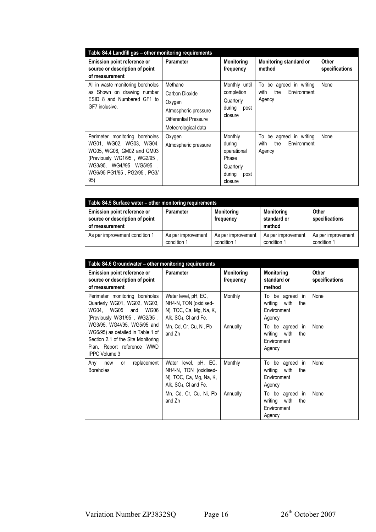| Table S4.4 Landfill gas - other monitoring requirements                                                                                                                               |                                                                                                             |                                                                                     |                                                                    |                         |  |  |
|---------------------------------------------------------------------------------------------------------------------------------------------------------------------------------------|-------------------------------------------------------------------------------------------------------------|-------------------------------------------------------------------------------------|--------------------------------------------------------------------|-------------------------|--|--|
| Emission point reference or<br>source or description of point<br>of measurement                                                                                                       | <b>Parameter</b>                                                                                            | Monitoring<br>frequency                                                             | <b>Monitoring standard or</b><br>method                            | Other<br>specifications |  |  |
| All in waste monitoring boreholes<br>as Shown on drawing number<br>ESID 8 and Numbered GF1 to<br>GF7 inclusive.                                                                       | Methane<br>Carbon Dioxide<br>Oxygen<br>Atmospheric pressure<br>Differential Pressure<br>Meteorological data | Monthly until<br>completion<br>Quarterly<br>during<br>post<br>closure               | To<br>be agreed in writing<br>the<br>Environment<br>with<br>Agency | None                    |  |  |
| Perimeter monitoring boreholes<br>WG01, WG02, WG03, WG04,<br>WG05, WG06, GM02 and GM03<br>(Previously WG1/95, WG2/95,<br>WG3/95. WG4//95 WG5/95<br>WG6/95 PG1/95, PG2/95, PG3/<br>95) | Oxygen<br>Atmospheric pressure                                                                              | Monthly<br>during<br>operational<br>Phase<br>Quarterly<br>during<br>post<br>closure | be agreed in writing<br>To<br>the<br>Environment<br>with<br>Agency | None                    |  |  |

| Table S4.5 Surface water - other monitoring requirements                        |                                   |                                   |                                     |                                   |
|---------------------------------------------------------------------------------|-----------------------------------|-----------------------------------|-------------------------------------|-----------------------------------|
| Emission point reference or<br>source or description of point<br>of measurement | <b>Parameter</b>                  | <b>Monitoring</b><br>frequency    | Monitoring<br>standard or<br>method | Other<br>specifications           |
| As per improvement condition 1                                                  | As per improvement<br>condition 1 | As per improvement<br>condition 1 | As per improvement<br>condition 1   | As per improvement<br>condition 1 |

| Table S4.6 Groundwater - other monitoring requirements                                                                                                       |                                                                                                               |                                |                                                                         |                                |
|--------------------------------------------------------------------------------------------------------------------------------------------------------------|---------------------------------------------------------------------------------------------------------------|--------------------------------|-------------------------------------------------------------------------|--------------------------------|
| <b>Emission point reference or</b><br>source or description of point<br>of measurement                                                                       | <b>Parameter</b>                                                                                              | <b>Monitoring</b><br>frequency | <b>Monitoring</b><br>standard or<br>method                              | <b>Other</b><br>specifications |
| Perimeter monitoring boreholes<br>Quarterly WG01, WG02, WG03,<br>WG04. WG05 and<br>WG06<br>(Previously WG1/95, WG2/95,                                       | Water level, pH, EC,<br>NH4-N, TON (oxidised-<br>N), TOC, Ca, Mg, Na, K,<br>Alk, SO <sub>4</sub> , CI and Fe. | Monthly                        | To be agreed in<br>writing<br>with<br>the<br>Environment<br>Agency      | None                           |
| WG3/95, WG4//95, WG5/95 and<br>WG6/95) as detailed in Table 1 of<br>Section 2.1 of the Site Monitoring<br>Plan, Report reference WWD<br><b>IPPC Volume 3</b> | Mn, Cd, Cr, Cu, Ni, Pb<br>and Zn                                                                              | Annually                       | To be agreed in<br>writing<br>with<br>the<br>Environment<br>Agency      | None                           |
| replacement<br>Any<br>new<br>or<br><b>Boreholes</b>                                                                                                          | Water level, pH, EC,<br>NH4-N, TON (oxidised-<br>N), TOC, Ca, Mg, Na, K,<br>Alk, SO <sub>4</sub> , CI and Fe. | Monthly                        | To be agreed<br>- in<br>writing<br>with<br>the<br>Environment<br>Agency | None                           |
|                                                                                                                                                              | Mn, Cd, Cr, Cu, Ni, Pb<br>and Zn                                                                              | Annually                       | To be agreed<br>in<br>writing<br>with<br>the<br>Environment<br>Agency   | None                           |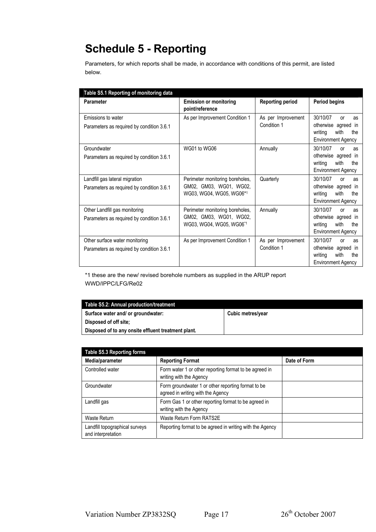# **Schedule 5 - Reporting**

Parameters, for which reports shall be made, in accordance with conditions of this permit, are listed below.

| Table S5.1 Reporting of monitoring data                                     |                                                                                        |                                   |                                                                                                           |
|-----------------------------------------------------------------------------|----------------------------------------------------------------------------------------|-----------------------------------|-----------------------------------------------------------------------------------------------------------|
| Parameter                                                                   | <b>Emission or monitoring</b><br>point/reference                                       | <b>Reporting period</b>           | <b>Period begins</b>                                                                                      |
| Emissions to water<br>Parameters as required by condition 3.6.1             | As per Improvement Condition 1                                                         | As per Improvement<br>Condition 1 | 30/10/07<br>or<br>as<br>otherwise agreed in<br>writing<br>with<br>the<br><b>Environment Agency</b>        |
| Groundwater<br>Parameters as required by condition 3.6.1                    | WG01 to WG06                                                                           | Annually                          | 30/10/07<br>or<br>as<br>otherwise agreed in<br>writing<br>with<br>the<br><b>Environment Agency</b>        |
| Landfill gas lateral migration<br>Parameters as required by condition 3.6.1 | Perimeter monitoring boreholes,<br>GM02, GM03, WG01, WG02,<br>WG03, WG04, WG05, WG06*1 | Quarterly                         | 30/10/07<br>or<br>as<br>otherwise agreed in<br>writing<br>with<br>the<br><b>Environment Agency</b>        |
| Other Landfill gas monitoring<br>Parameters as required by condition 3.6.1  | Perimeter monitoring boreholes,<br>GM02, GM03, WG01, WG02,<br>WG03, WG04, WG05, WG06*1 | Annually                          | 30/10/07<br>or<br>as<br>otherwise agreed in<br>writing<br>with<br>the<br><b>Environment Agency</b>        |
| Other surface water monitoring<br>Parameters as required by condition 3.6.1 | As per Improvement Condition 1                                                         | As per Improvement<br>Condition 1 | 30/10/07<br><b>or</b><br>as<br>otherwise agreed in<br>writing<br>with<br>the<br><b>Environment Agency</b> |

\*1 these are the new/ revised borehole numbers as supplied in the ARUP report WWD/IPPC/LFG/Re02

| Table S5.2: Annual production/treatment             |                   |
|-----------------------------------------------------|-------------------|
| Surface water and/ or groundwater:                  | Cubic metres/year |
| Disposed of off site:                               |                   |
| Disposed of to any onsite effluent treatment plant. |                   |

| <b>Table S5.3 Reporting forms</b>                    |                                                                                         |              |
|------------------------------------------------------|-----------------------------------------------------------------------------------------|--------------|
| Media/parameter                                      | <b>Reporting Format</b>                                                                 | Date of Form |
| Controlled water                                     | Form water 1 or other reporting format to be agreed in<br>writing with the Agency       |              |
| Groundwater                                          | Form groundwater 1 or other reporting format to be<br>agreed in writing with the Agency |              |
| Landfill gas                                         | Form Gas 1 or other reporting format to be agreed in<br>writing with the Agency         |              |
| Waste Return                                         | Waste Return Form RATS2E                                                                |              |
| Landfill topographical surveys<br>and interpretation | Reporting format to be agreed in writing with the Agency                                |              |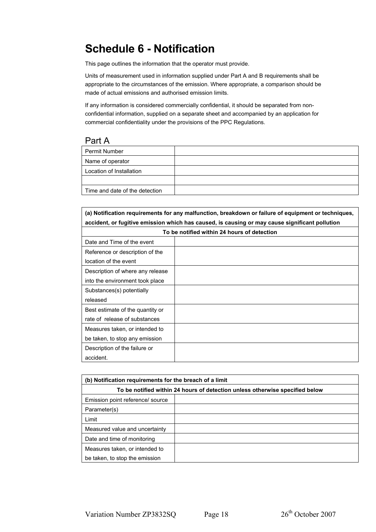# **Schedule 6 - Notification**

This page outlines the information that the operator must provide.

Units of measurement used in information supplied under Part A and B requirements shall be appropriate to the circumstances of the emission. Where appropriate, a comparison should be made of actual emissions and authorised emission limits.

If any information is considered commercially confidential, it should be separated from nonconfidential information, supplied on a separate sheet and accompanied by an application for commercial confidentiality under the provisions of the PPC Regulations.

#### Part A

| <b>Permit Number</b>           |  |
|--------------------------------|--|
| Name of operator               |  |
| Location of Installation       |  |
|                                |  |
| Time and date of the detection |  |

| (a) Notification requirements for any malfunction, breakdown or failure of equipment or techniques, |  |  |
|-----------------------------------------------------------------------------------------------------|--|--|
| accident, or fugitive emission which has caused, is causing or may cause significant pollution      |  |  |
| To be notified within 24 hours of detection                                                         |  |  |
| Date and Time of the event                                                                          |  |  |
| Reference or description of the                                                                     |  |  |
| location of the event                                                                               |  |  |
| Description of where any release                                                                    |  |  |
| into the environment took place                                                                     |  |  |
| Substances(s) potentially                                                                           |  |  |
| released                                                                                            |  |  |
| Best estimate of the quantity or                                                                    |  |  |
| rate of release of substances                                                                       |  |  |
| Measures taken, or intended to                                                                      |  |  |
| be taken, to stop any emission                                                                      |  |  |
| Description of the failure or                                                                       |  |  |
| accident.                                                                                           |  |  |

| (b) Notification requirements for the breach of a limit                      |  |  |
|------------------------------------------------------------------------------|--|--|
| To be notified within 24 hours of detection unless otherwise specified below |  |  |
| Emission point reference/ source                                             |  |  |
| Parameter(s)                                                                 |  |  |
| Limit                                                                        |  |  |
| Measured value and uncertainty                                               |  |  |
| Date and time of monitoring                                                  |  |  |
| Measures taken, or intended to                                               |  |  |
| be taken, to stop the emission                                               |  |  |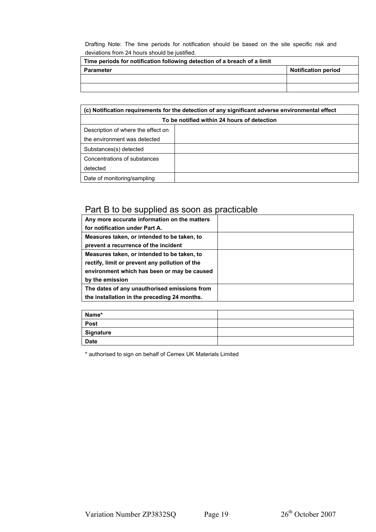Drafting Note: The time periods for notification should be based on the site specific risk and deviations from 24 hours should be justified.

| Time periods for notification following detection of a breach of a limit |                            |
|--------------------------------------------------------------------------|----------------------------|
| <b>Parameter</b>                                                         | <b>Notification period</b> |
|                                                                          |                            |
|                                                                          |                            |

| (c) Notification requirements for the detection of any significant adverse environmental effect |  |  |
|-------------------------------------------------------------------------------------------------|--|--|
| To be notified within 24 hours of detection                                                     |  |  |
| Description of where the effect on                                                              |  |  |
| the environment was detected                                                                    |  |  |
| Substances(s) detected                                                                          |  |  |
| Concentrations of substances                                                                    |  |  |
| detected                                                                                        |  |  |
| Date of monitoring/sampling                                                                     |  |  |

#### Part B to be supplied as soon as practicable

| Any more accurate information on the matters   |  |
|------------------------------------------------|--|
| for notification under Part A.                 |  |
| Measures taken, or intended to be taken, to    |  |
| prevent a recurrence of the incident           |  |
| Measures taken, or intended to be taken, to    |  |
| rectify, limit or prevent any pollution of the |  |
| environment which has been or may be caused    |  |
| by the emission                                |  |
| The dates of any unauthorised emissions from   |  |
| the installation in the preceding 24 months.   |  |

| Name*            |  |
|------------------|--|
| Post             |  |
| <b>Signature</b> |  |
| <b>Date</b>      |  |

\* authorised to sign on behalf of Cemex UK Materials Limited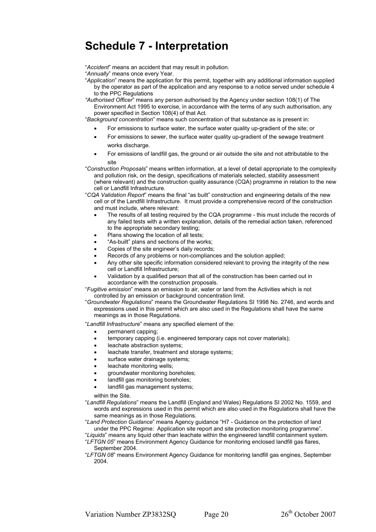## **Schedule 7 - Interpretation**

"*Accident*" means an accident that may result in pollution.

"*Annually*" means once every Year.

"*Application*" means the application for this permit, together with any additional information supplied by the operator as part of the application and any response to a notice served under schedule 4 to the PPC Regulations

*"Authorised Officer*" means any person authorised by the Agency under section 108(1) of The Environment Act 1995 to exercise, in accordance with the terms of any such authorisation, any power specified in Section 108(4) of that Act*.*

"*Background concentration*" means such concentration of that substance as is present in:

- For emissions to surface water, the surface water quality up-gradient of the site; or
- For emissions to sewer, the surface water quality up-gradient of the sewage treatment works discharge.
- For emissions of landfill gas, the ground or air outside the site and not attributable to the site
- "*Construction Proposals*" means written information, at a level of detail appropriate to the complexity and pollution risk, on the design, specifications of materials selected, stability assessment (where relevant) and the construction quality assurance (CQA) programme in relation to the new cell or Landfill Infrastructure.
- "*CQA Validation Report*" means the final "as built" construction and engineering details of the new cell or of the Landfill Infrastructure. It must provide a comprehensive record of the construction and must include, where relevant:
	- The results of all testing required by the CQA programme this must include the records of any failed tests with a written explanation, details of the remedial action taken, referenced to the appropriate secondary testing;
	- Plans showing the location of all tests;
	- "As-built" plans and sections of the works;
	- Copies of the site engineer's daily records;
	- Records of any problems or non-compliances and the solution applied;
	- Any other site specific information considered relevant to proving the integrity of the new cell or Landfill Infrastructure;
	- Validation by a qualified person that all of the construction has been carried out in accordance with the construction proposals.

"*Fugitive emission*" means an emission to air, water or land from the Activities which is not controlled by an emission or background concentration limit.

"*Groundwater Regulations*" means the Groundwater Regulations SI 1998 No. 2746, and words and expressions used in this permit which are also used in the Regulations shall have the same meanings as in those Regulations.

"*Landfill Infrastructure*" means any specified element of the:

- permanent capping;
- temporary capping (i.e. engineered temporary caps not cover materials);
- leachate abstraction systems;
- leachate transfer, treatment and storage systems;
- surface water drainage systems;
- leachate monitoring wells;
- groundwater monitoring boreholes;
- landfill gas monitoring boreholes;
- landfill gas management systems;

within the Site.

- "*Landfill Regulations*" means the Landfill (England and Wales) Regulations SI 2002 No. 1559, and words and expressions used in this permit which are also used in the Regulations shall have the same meanings as in those Regulations.
- "*Land Protection Guidance*" means Agency guidance "H7 Guidance on the protection of land under the PPC Regime: Application site report and site protection monitoring programme".
- "*Liquids*" means any liquid other than leachate within the engineered landfill containment system. "*LFTGN 05*" means Environment Agency Guidance for monitoring enclosed landfill gas flares,
- September 2004. "*LFTGN 08*" means Environment Agency Guidance for monitoring landfill gas engines, September 2004.